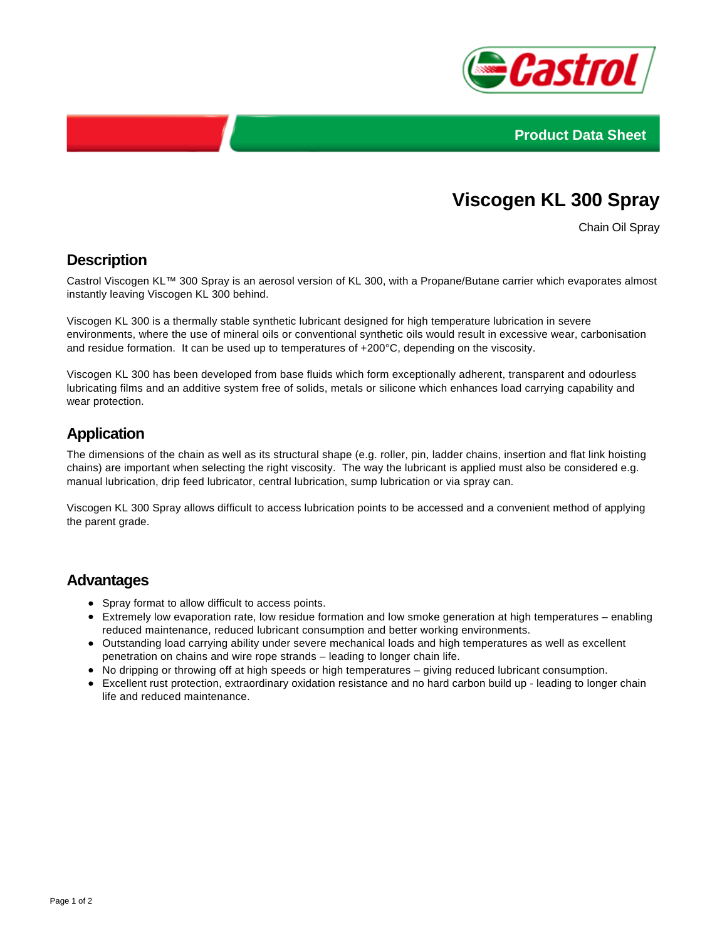



# **Viscogen KL 300 Spray**

Chain Oil Spray

## **Description**

Castrol Viscogen KL™ 300 Spray is an aerosol version of KL 300, with a Propane/Butane carrier which evaporates almost instantly leaving Viscogen KL 300 behind.

Viscogen KL 300 is a thermally stable synthetic lubricant designed for high temperature lubrication in severe environments, where the use of mineral oils or conventional synthetic oils would result in excessive wear, carbonisation and residue formation. It can be used up to temperatures of +200°C, depending on the viscosity.

Viscogen KL 300 has been developed from base fluids which form exceptionally adherent, transparent and odourless lubricating films and an additive system free of solids, metals or silicone which enhances load carrying capability and wear protection.

## **Application**

The dimensions of the chain as well as its structural shape (e.g. roller, pin, ladder chains, insertion and flat link hoisting chains) are important when selecting the right viscosity. The way the lubricant is applied must also be considered e.g. manual lubrication, drip feed lubricator, central lubrication, sump lubrication or via spray can.

Viscogen KL 300 Spray allows difficult to access lubrication points to be accessed and a convenient method of applying the parent grade.

#### **Advantages**

- Spray format to allow difficult to access points.
- Extremely low evaporation rate, low residue formation and low smoke generation at high temperatures enabling reduced maintenance, reduced lubricant consumption and better working environments.
- Outstanding load carrying ability under severe mechanical loads and high temperatures as well as excellent penetration on chains and wire rope strands – leading to longer chain life.
- No dripping or throwing off at high speeds or high temperatures giving reduced lubricant consumption.
- Excellent rust protection, extraordinary oxidation resistance and no hard carbon build up leading to longer chain life and reduced maintenance.